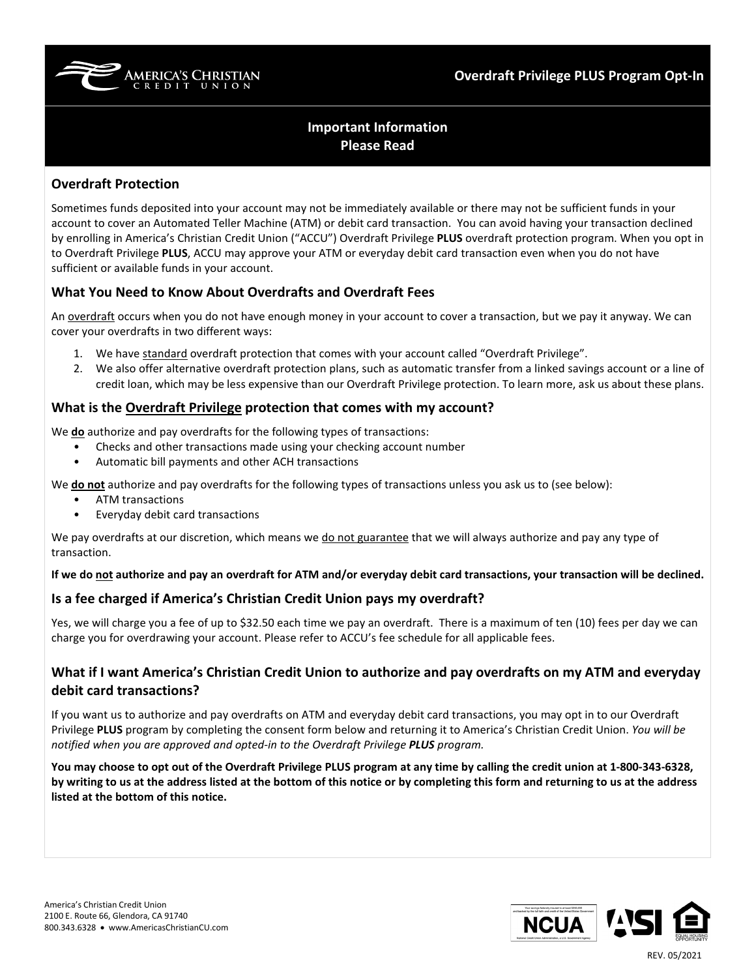

# **Important Information Please Read**

### **Overdraft Protection**

Sometimes funds deposited into your account may not be immediately available or there may not be sufficient funds in your account to cover an Automated Teller Machine (ATM) or debit card transaction. You can avoid having your transaction declined by enrolling in America's Christian Credit Union ("ACCU") Overdraft Privilege **PLUS** overdraft protection program. When you opt in to Overdraft Privilege **PLUS**, ACCU may approve your ATM or everyday debit card transaction even when you do not have sufficient or available funds in your account.

## **What You Need to Know About Overdrafts and Overdraft Fees**

An overdraft occurs when you do not have enough money in your account to cover a transaction, but we pay it anyway. We can cover your overdrafts in two different ways:

- 1. We have standard overdraft protection that comes with your account called "Overdraft Privilege".
- 2. We also offer alternative overdraft protection plans, such as automatic transfer from a linked savings account or a line of credit loan, which may be less expensive than our Overdraft Privilege protection. To learn more, ask us about these plans.

#### **What is the Overdraft Privilege protection that comes with my account?**

We **do** authorize and pay overdrafts for the following types of transactions:

- Checks and other transactions made using your checking account number
- Automatic bill payments and other ACH transactions

We **do not** authorize and pay overdrafts for the following types of transactions unless you ask us to (see below):

- ATM transactions
- Everyday debit card transactions

We pay overdrafts at our discretion, which means we do not guarantee that we will always authorize and pay any type of transaction.

**If we do not authorize and pay an overdraft for ATM and/or everyday debit card transactions, your transaction will be declined.**

#### **Is a fee charged if America's Christian Credit Union pays my overdraft?**

Yes, we will charge you a fee of up to \$32.50 each time we pay an overdraft. There is a maximum of ten (10) fees per day we can charge you for overdrawing your account. Please refer to ACCU's fee schedule for all applicable fees.

# **What if I want America's Christian Credit Union to authorize and pay overdrafts on my ATM and everyday debit card transactions?**

If you want us to authorize and pay overdrafts on ATM and everyday debit card transactions, you may opt in to our Overdraft Privilege **PLUS** program by completing the consent form below and returning it to America's Christian Credit Union. *You will be notified when you are approved and opted-in to the Overdraft Privilege PLUS program.*

**You may choose to opt out of the Overdraft Privilege PLUS program at any time by calling the credit union at 1-800-343-6328, by writing to us at the address listed at the bottom of this notice or by completing this form and returning to us at the address listed at the bottom of this notice.**